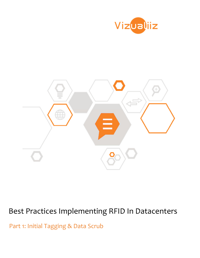



# Best Practices Implementing RFID In Datacenters

Part 1: Initial Tagging & Data Scrub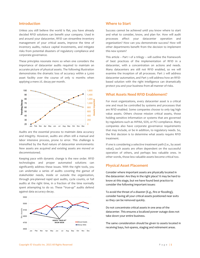#### Introduction

Unless you still believe the world is flat, you have already decided RFID solutions can benefit your company. Used in and around your datacenter, RFID can streamline inventory management of your critical assets, improve the time of inventory audits, reduce capital investments, and mitigate risks from potential disasters of regulatory compliance and corporate governance.

These principles resonate more so when one considers the importance of datacenter audits required to maintain an accurate picture of physical assets. The following illustration demonstrates the dramatic loss of accuracy within a 5,000 asset facility over the course of only 12 months when applying a mere 2%. decay per month.



Audits are the essential process to maintain data accuracy and integrity. However, audits are often still a manual and labor intensive process, prone to error. This challenge is intensified by the fluid nature of datacenter environments: New assets are acquired and existing assets are moved or decommissioned.

Keeping pace with dynamic change is the new order. RFID technologies and proper automated solutions can significantly address these issues. With the right tools, you can undertake a series of audits covering the gamut of stakeholder needs, inside or outside the organization, through pre-planned rapid spot audits, cycle counts, or full audits at the right time, in a fraction of the time normally spent attempting to do so. These "true-up" audits defend against data accuracy decay.



#### Where to Start

Success cannot be achieved until you know where to start and what to consider, know, and plan for. How will audit processes affect your datacenter operation and organization? How can you demonstrate success? How will other departments benefit from the decision to implement this new system?

This article -- Part 1 of a trilogy -- will outline the framework of best practices of the implementation of RFID in a datacenter, with a concentration on actions and needs. Many datacenters are still not RFID enabled, so we will examine the inception of all processes. Part 2 will address datacenter automation, and Part 3 will address how an RFIDbased solution with the right intelligence can dramatically protect you and your business from all manner of risks.

#### What Assets Need RFID Enablement?

For most organizations, every datacenter asset is a critical one and must be controlled by systems and processes that are RFID enabled. Some companies choose to only tag high value assets. Others choose mission critical assets, those holding sensitive information or systems that are governed by regulations such as HIPAA, SOX, or PCI compliance. Many companies also have corporate governance requirements that may include, or be in addition, to regulatory needs. So, the first decision is to determine what assets require RFID treatment.

If one is considering a selective treatment path (I.e., by asset value), such assets are often dependent on the successful operation of others, and perhaps less valuable ones. In other words, those less valuable assets become critical too.

#### Physical Asset Placement

Consider where important assets are physically located in the datacenter: Are they in the right place? It may be hard to know at this stage, but we have found best practice to consider the following important issues:

To avoid the threat of a disaster (E.g., fire or flooding), consider having all your critical assets positioned near exits so they can be removed quickly.

Do not concentrate critical assets in one area of the datacenter. This ensures a localized power outage does not take down your entire business.

The same consideration should be given to assets located in receiving bays, hot-spares, staging and retirement areas.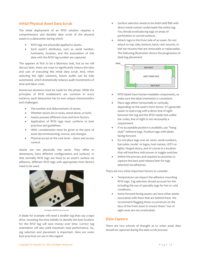### Initial Physical Asset Data Scrub

The initial deployment of an RFID solution requires a comprehensive and detailed data scrub of the physical assets in a datacenter during which:

- RFID tags are physically applied to assets.
- Each asset's attributes, such as serial number, hostname, location, and the association of this data with the RFID tag number are captured.

This appears at first to be a laborious task, but as we will discuss later, there are ways to significantly reduce the time and cost of executing this initial data scrub. And, when selecting the right solutions, future audits can be fully automated, which dramatically reduces audit investments of time and labor costs.

Numerous decisions must be made for this phase. While the principles of RFID enablement are common in every instance, each datacenter has its own unique characteristics and challenges:

- The number and disbursement of assets.
- Whether assets are in racks, stand-alone, or both.
- Assets possess different sizes and form factors.
- Application of RFID tags must conform to best practices and guidelines.
- IMAC consideration must be given to the pace of asset decommissioning, moves, and changes.
- Physical access at the rack level doors and access control.

Assets are not physically the same. They differ in dimensions, have different configurations and surfaces. In that normally RFID tags are fixed to an asset's surface via adhesive, different RFID tags with appropriate form factors need to be used.



Examples of RFID Form Factors

A blade for example will need a smaller tag than say a tape drive. Investing the time initially to identify the best location for the RFID tag will save money over time. Correct tag orientation will also yield maximum read performance. So, tag selection and placement is important. Here are some best practices we use in this regard:

- Surface selection needs to be even and flat with direct metal contact underneath the entire tag. You should avoid placing tags on areas of perforation or curved surfaces.
- Attach tags to the front side of an asset. Do not attach to top, side, bottom, back, rack mounts, or leaf ear mounts that are removable or replaceable. The following illustration shows the progression of ideal tag placement.



- RFID labels have human-readable components, so make sure the label orientation is consistent.
- Place tags either horizontally or vertically depending on the asset's form factor. It's generally easier to read a tag with a direct line of sight between the tag and the RFID reader but unlike bar codes, line of sight is not necessarily a requirement.
- If no acceptable position is available, use "hang style" tethered tags. Position tags with labels facing forward.
- Do not place tags over air vents. serial numbers, barcodes, model or logos, host names, LED's or lights, hinged doors, and of course in a location that will interfere with power or toggle switches
- Define the process and required accessories to capture the back peel release liner for tags attached via adhesives.

There are two other important factors to consider.

- Temperature can impact the adhesive mounting RFID tags. Tag selection should account for this including the use of specialty tags for hot or cold conditions.
- Some forward facing assets can have other assets associated with them that are behind them. We recommend flagging these occurrences on the face of the front asset to ensure these "out of sight ones are not overlooked.

#### Data Capture

There are two schools of thought as to when asset data should be captured during the data scrub process: